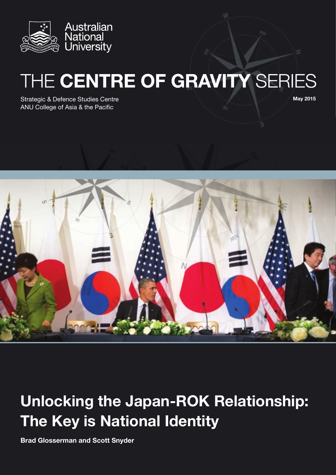

# THE CENTRE OF GRAVITY SERIES

Strategic & Defence Studies Centre ANU College of Asia & the Pacific

May 2015



# Unlocking the Japan-ROK Relationship: The Key is National Identity

Brad Glosserman and Scott Snyder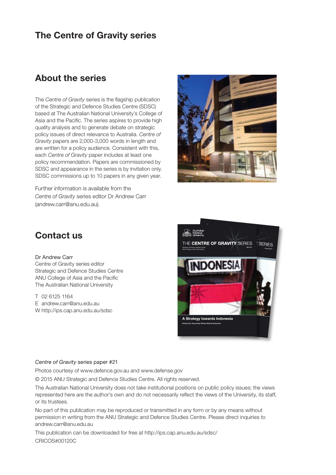### The Centre of Gravity series

### About the series

The *Centre of Gravity* series is the flagship publication of the Strategic and Defence Studies Centre (SDSC) based at The Australian National University's College of Asia and the Pacific. The series aspires to provide high quality analysis and to generate debate on strategic policy issues of direct relevance to Australia. *Centre of Gravity* papers are 2,000-3,000 words in length and are written for a policy audience. Consistent with this, each *Centre of Gravity* paper includes at least one policy recommendation. Papers are commissioned by SDSC and appearance in the series is by invitation only. SDSC commissions up to 10 papers in any given year.

Further information is available from the *Centre of Gravity* series editor Dr Andrew Carr ([andrew.carr@anu.edu.au\)](mailto:andrew.carr%40anu.edu.au?subject=).



## Contact us

#### Dr Andrew Carr

Centre of Gravity series editor Strategic and Defence Studies Centre ANU College of Asia and the Pacific The Australian National University

T 02 6125 1164 E andrew.carr@anu.edu.au W http://ips.cap.anu.edu.au/sdsc



#### *Centre of Gravity* series paper #21

Photos courtesy of www.defence.gov.au and www.defense.gov

© 2015 ANU Strategic and Defence Studies Centre. All rights reserved.

The Australian National University does not take institutional positions on public policy issues; the views represented here are the author's own and do not necessarily reflect the views of the University, its staff, or its trustees.

No part of this publication may be reproduced or transmitted in any form or by any means without permission in writing from the ANU Strategic and Defence Studies Centre. Please direct inquiries to [andrew.carr@anu.edu.au](mailto:andrew.carr%40anu.edu.au?subject=)

This publication can be downloaded for free at http://ips.cap.anu.edu.au/sdsc/ CRICOS#00120C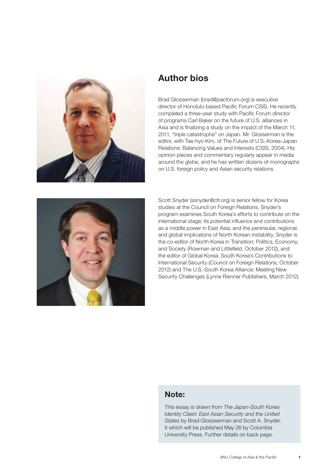

### Author bios

Brad Glosserman (brad@pacforum.org) is executive director of Honolulu-based Pacific Forum CSIS. He recently completed a three-year study with Pacific Forum director of programs Carl Baker on the future of U.S. alliances in Asia and is finalizing a study on the impact of the March 11, 2011, "triple catastrophe" on Japan. Mr. Glosserman is the editor, with Tae-hyo Kim, of The Future of U.S.-Korea-Japan Relations: Balancing Values and Interests (CSIS, 2004). His opinion pieces and commentary regularly appear in media around the globe, and he has written dozens of monographs on U.S. foreign policy and Asian security relations.



Scott Snyder (ssnyder@cfr.org) is senior fellow for Korea studies at the Council on Foreign Relations. Snyder's program examines South Korea's efforts to contribute on the international stage; its potential influence and contributions as a middle power in East Asia; and the peninsular, regional, and global implications of North Korean instability. Snyder is the co-editor of North Korea in Transition: Politics, Economy, and Society (Rowman and Littlefield, October 2012), and the editor of Global Korea: South Korea's Contributions to International Security (Council on Foreign Relations, October 2012) and The U.S.-South Korea Alliance: Meeting New Security Challenges (Lynne Rienner Publishers, March 2012).

#### Note:

This essay is drawn from *The Japan-South Korea Identity Clash: East Asian Security and the United States* by Brad Glossserman and Scott A. Snyder. It which will be published May 26 by Columbia University Press. Further details on back page.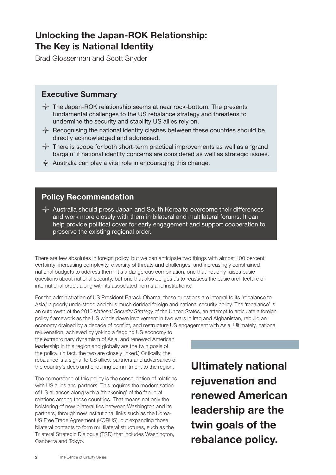## Unlocking the Japan-ROK Relationship: The Key is National Identity

Brad Glosserman and Scott Snyder

#### Executive Summary

- $\triangle$  The Japan-ROK relationship seems at near rock-bottom. The presents fundamental challenges to the US rebalance strategy and threatens to undermine the security and stability US allies rely on.
- $\triangle$  Recognising the national identity clashes between these countries should be directly acknowledged and addressed.
- $\triangle$  There is scope for both short-term practical improvements as well as a 'grand bargain' if national identity concerns are considered as well as strategic issues.
- $\triangle$  Australia can play a vital role in encouraging this change.

### Policy Recommendation

 $\triangle$  Australia should press Japan and South Korea to overcome their differences and work more closely with them in bilateral and multilateral forums. It can help provide political cover for early engagement and support cooperation to preserve the existing regional order.

There are few absolutes in foreign policy, but we can anticipate two things with almost 100 percent certainty: increasing complexity, diversity of threats and challenges, and increasingly constrained national budgets to address them. It's a dangerous combination, one that not only raises basic questions about national security, but one that also obliges us to reassess the basic architecture of international order, along with its associated norms and institutions.<sup>1</sup>

For the administration of US President Barack Obama, these questions are integral to its 'rebalance to Asia,' a poorly understood and thus much derided foreign and national security policy. The 'rebalance' is an outgrowth of the 2010 *National Security Strategy* of the United States, an attempt to articulate a foreign policy framework as the US winds down involvement in two wars in Iraq and Afghanistan, rebuild an economy drained by a decade of conflict, and restructure US engagement with Asia. Ultimately, national

rejuvenation, achieved by yoking a flagging US economy to the extraordinary dynamism of Asia, and renewed American leadership in this region and globally are the twin goals of the policy. (In fact, the two are closely linked.) Critically, the rebalance is a signal to US allies, partners and adversaries of the country's deep and enduring commitment to the region.

The cornerstone of this policy is the consolidation of relations with US allies and partners. This requires the modernisation of US alliances along with a 'thickening' of the fabric of relations among those countries. That means not only the bolstering of new bilateral ties between Washington and its partners, through new institutional links such as the Korea-US Free Trade Agreement (KORUS), but expanding those bilateral contacts to form multilateral structures, such as the Trilateral Strategic Dialogue (TSD) that includes Washington, Canberra and Tokyo.

Ultimately national rejuvenation and renewed American leadership are the twin goals of the rebalance policy.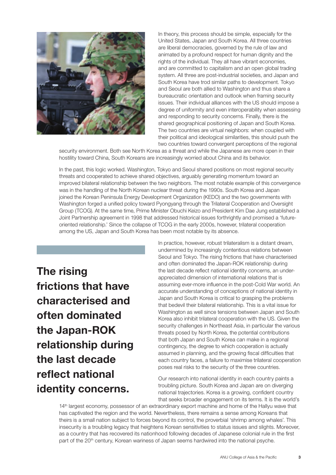

In theory, this process should be simple, especially for the United States, Japan and South Korea. All three countries are liberal democracies, governed by the rule of law and animated by a profound respect for human dignity and the rights of the individual. They all have vibrant economies, and are committed to capitalism and an open global trading system. All three are post-industrial societies, and Japan and South Korea have trod similar paths to development. Tokyo and Seoul are both allied to Washington and thus share a bureaucratic orientation and outlook when framing security issues. Their individual alliances with the US should impose a degree of uniformity and even interoperability when assessing and responding to security concerns. Finally, there is the shared geographical positioning of Japan and South Korea. The two countries are virtual neighbors: when coupled with their political and ideological similarities, this should push the two countries toward convergent perceptions of the regional

security environment. Both see North Korea as a threat and while the Japanese are more open in their hostility toward China, South Koreans are increasingly worried about China and its behavior.

In the past, this logic worked. Washington, Tokyo and Seoul shared positions on most regional security threats and cooperated to achieve shared objectives, arguably generating momentum toward an improved bilateral relationship between the two neighbors. The most notable example of this convergence was in the handling of the North Korean nuclear threat during the 1990s. South Korea and Japan joined the Korean Peninsula Energy Development Organization (KEDO) and the two governments with Washington forged a unified policy toward Pyongyang through the Trilateral Cooperation and Oversight Group (TCOG). At the same time, Prime Minister Obuchi Keizo and President Kim Dae Jung established a Joint Partnership agreement in 1998 that addressed historical issues forthrightly and promised a 'futureoriented relationship.' Since the collapse of TCOG in the early 2000s, however, trilateral cooperation among the US, Japan and South Korea has been most notable by its absence.

The rising frictions that have characterised and often dominated the Japan-ROK relationship during the last decade reflect national identity concerns.

In practice, however, robust trilateralism is a distant dream, undermined by increasingly contentious relations between Seoul and Tokyo. The rising frictions that have characterised and often dominated the Japan-ROK relationship during the last decade reflect national identity concerns, an underappreciated dimension of international relations that is assuming ever-more influence in the post-Cold War world. An accurate understanding of conceptions of national identity in Japan and South Korea is critical to grasping the problems that bedevil their bilateral relationship. This is a vital issue for Washington as well since tensions between Japan and South Korea also inhibit trilateral cooperation with the US. Given the security challenges in Northeast Asia, in particular the various threats posed by North Korea, the potential contributions that both Japan and South Korea can make in a regional contingency, the degree to which cooperation is actually assumed in planning, and the growing fiscal difficulties that each country faces, a failure to maximise trilateral cooperation poses real risks to the security of the three countries.

Our research into national identity in each country paints a troubling picture. South Korea and Japan are on diverging national trajectories. Korea is a growing, confident country that seeks broader engagement on its terms. It is the world's

14<sup>th</sup> largest economy, possessor of an extraordinary export machine and home of the Hallyu wave that has captivated the region and the world. Nevertheless, there remains a sense among Koreans that theirs is a small nation subject to forces beyond its control, the proverbial 'shrimp among whales'. This insecurity is a troubling legacy that heightens Korean sensitivities to status issues and slights. Moreover, as a country that has recovered its nationhood following decades of Japanese colonial rule in the first part of the 20<sup>th</sup> century, Korean wariness of Japan seems hardwired into the national psyche.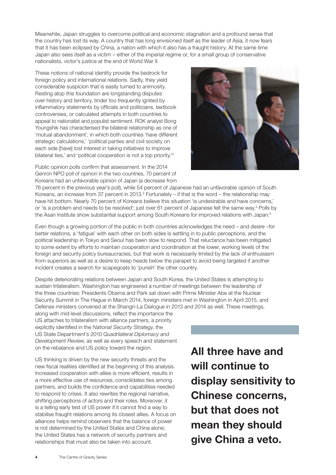Meanwhile, Japan struggles to overcome political and economic stagnation and a profound sense that the country has lost its way. A country that has long envisioned itself as the leader of Asia, it now fears that it has been eclipsed by China, a nation with which it also has a fraught history. At the same time Japan also sees itself as a victim – either of the imperial regime or, for a small group of conservative nationalists, victor's justice at the end of World War II.

These notions of national identity provide the bedrock for foreign policy and international relations. Sadly, they yield considerable suspicion that is easily turned to animosity. Resting atop this foundation are longstanding disputes over history and territory, tinder too frequently ignited by inflammatory statements by officials and politicians, textbook controversies, or calculated attempts in both countries to appeal to nationalist and populist sentiment. ROK analyst Bong Youngshik has characterised the bilateral relationship as one of 'mutual abandonment', in which both countries 'have different strategic calculations,' 'political parties and civil society on each side [have] lost interest in taking initiatives to improve bilateral ties,' and 'political cooperation is not a top priority.'<sup>2</sup>

Public opinion polls confirm that assessment. In the 2014 Genron NPO poll of opinion in the two countries, 70 percent of Koreans had an unfavorable opinion of Japan (a decrease from



76 percent in the previous year's poll), while 54 percent of Japanese had an unfavorable opinion of South Koreans, an increase from 37 percent in 2013. $3$  Fortunately  $-$  if that is the word  $-$  the relationship may have hit bottom. Nearly 70 percent of Koreans believe this situation 'is undesirable and have concerns,' or 'is a problem and needs to be resolved'; just over 61 percent of Japanese felt the same way.<sup>4</sup> Polls by the Asan Institute show substantial support among South Koreans for improved relations with Japan.<sup>5</sup>

Even though a growing portion of the public in both countries acknowledges the need – and desire –for better relations, a 'fatigue' with each other on both sides is settling in to public perceptions, and the political leadership in Tokyo and Seoul has been slow to respond. That reluctance has been mitigated to some extent by efforts to maintain cooperation and coordination at the lower, working levels of the foreign and security policy bureaucracies, but that work is necessarily limited by the lack of enthusiasm from superiors as well as a desire to keep heads below the parapet to avoid being targeted if another incident creates a search for scapegoats to 'punish' the other country.

Despite deteriorating relations between Japan and South Korea, the United States is attempting to sustain trilateralism. Washington has engineered a number of meetings between the leadership of the three countries: Presidents Obama and Park sat down with Prime Minister Abe at the Nuclear Security Summit in The Hague in March 2014, foreign ministers met in Washington in April 2015, and Defense ministers convened at the Shangri-La Dialogue in 2013 and 2014 as well. These meetings,

along with mid-level discussions, reflect the importance the US attaches to trilateralism with alliance partners, a priority explicitly identified in the *National Security Strategy*, the US State Department's 2010 *Quadrilateral Diplomacy and Development Review*, as well as every speech and statement on the rebalance and US policy toward the region.

US thinking is driven by the new security threats and the new fiscal realities identified at the beginning of this analysis. Increased cooperation with allies is more efficient, results in a more effective use of resources, consolidates ties among partners, and builds the confidence and capabilities needed to respond to crises. It also rewrites the regional narrative, shifting perceptions of actors and their roles. Moreover, it is a telling early test of US power if it cannot find a way to stabilise fraught relations among its closest allies. A focus on alliances helps remind observers that the balance of power is not determined by the United States and China alone; the United States has a network of security partners and relationships that must also be taken into account.

All three have and will continue to display sensitivity to Chinese concerns, but that does not mean they should give China a veto.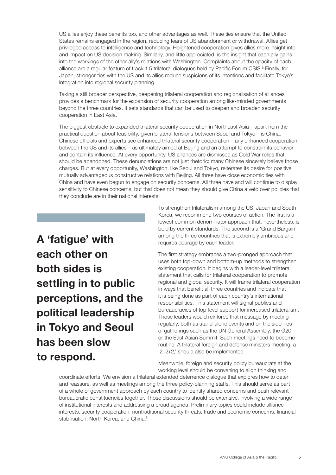US allies enjoy these benefits too, and other advantages as well. These ties ensure that the United States remains engaged in the region, reducing fears of US abandonment or withdrawal. Allies get privileged access to intelligence and technology. Heightened cooperation gives allies more insight into and impact on US decision making. Similarly, and little appreciated, is the insight that each ally gains into the workings of the other ally's relations with Washington. Complaints about the opacity of each alliance are a regular feature of track 1.5 trilateral dialogues held by Pacific Forum CSIS.<sup>6</sup> Finally, for Japan, stronger ties with the US and its allies reduce suspicions of its intentions and facilitate Tokyo's integration into regional security planning.

Taking a still broader perspective, deepening trilateral cooperation and regionalisation of alliances provides a benchmark for the expansion of security cooperation among like-minded governments beyond the three countries. It sets standards that can be used to deepen and broaden security cooperation in East Asia.

The biggest obstacle to expanded trilateral security cooperation in Northeast Asia – apart from the practical question about feasibility, given bilateral tensions between Seoul and Tokyo – is China. Chinese officials and experts see enhanced trilateral security cooperation – any enhanced cooperation between the US and its allies – as ultimately aimed at Beijing and an attempt to constrain its behavior and contain its influence. At every opportunity, US alliances are dismissed as Cold War relics that should be abandoned. These denunciations are not just rhetoric: many Chinese sincerely believe those charges. But at every opportunity, Washington, like Seoul and Tokyo, reiterates its desire for positive, mutually advantageous constructive relations with Beijing. All three have close economic ties with China and have even begun to engage on security concerns. All three have and will continue to display sensitivity to Chinese concerns, but that does not mean they should give China a veto over policies that they conclude are in their national interests.

A 'fatigue' with each other on both sides is settling in to public perceptions, and the political leadership in Tokyo and Seoul has been slow to respond.

To strengthen trilateralism among the US, Japan and South Korea, we recommend two courses of action. The first is a lowest common denominator approach that, nevertheless, is bold by current standards. The second is a 'Grand Bargain' among the three countries that is extremely ambitious and requires courage by each leader.

The first strategy embraces a two-pronged approach that uses both top-down and bottom-up methods to strengthen existing cooperation. It begins with a leader-level trilateral statement that calls for trilateral cooperation to promote regional and global security. It will frame trilateral cooperation in ways that benefit all three countries and indicate that it is being done as part of each country's international responsibilities. This statement will signal publics and bureaucracies of top-level support for increased trilateralism. Those leaders would reinforce that message by meeting regularly, both as stand-alone events and on the sidelines of gatherings such as the UN General Assembly, the G20, or the East Asian Summit. Such meetings need to become routine. A trilateral foreign and defense ministers meeting, a '2+2+2,' should also be implemented.

Meanwhile, foreign and security policy bureaucrats at the working level should be convening to align thinking and

coordinate efforts. We envision a trilateral extended deterrence dialogue that explores how to deter and reassure, as well as meetings among the three policy-planning staffs. This should serve as part of a whole of government approach by each country to identify shared concerns and push relevant bureaucratic constituencies together. Those discussions should be extensive, involving a wide range of institutional interests and addressing a broad agenda. Preliminary topics could include alliance interests, security cooperation, nontraditional security threats, trade and economic concerns, financial stabilisation, North Korea, and China.<sup>7</sup>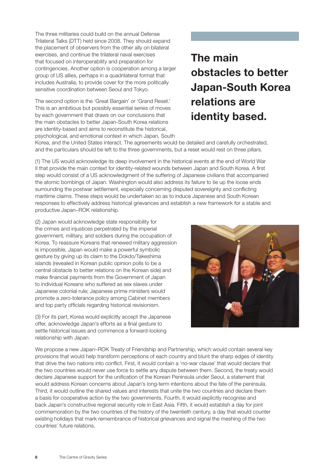The three militaries could build on the annual Defense Trilateral Talks (DTT) held since 2008. They should expand the placement of observers from the other ally on bilateral exercises, and continue the trilateral naval exercises that focused on interoperability and preparation for contingencies. Another option is cooperation among a larger group of US allies, perhaps in a quadrilateral format that includes Australia, to provide cover for the more politically sensitive coordination between Seoul and Tokyo.

The second option is the 'Great Bargain' or 'Grand Reset.' This is an ambitious but possibly essential series of moves by each government that draws on our conclusions that the main obstacles to better Japan-South Korea relations are identity-based and aims to reconstitute the historical, psychological, and emotional context in which Japan, South

# The main obstacles to better Japan-South Korea relations are identity based.

Korea, and the United States interact. The agreements would be detailed and carefully orchestrated, and the particulars should be left to the three governments, but a reset would rest on three pillars.

(1) The US would acknowledge its deep involvement in the historical events at the end of World War II that provide the main context for identity-related wounds between Japan and South Korea. A first step would consist of a US acknowledgment of the suffering of Japanese civilians that accompanied the atomic bombings of Japan. Washington would also address its failure to tie up the loose ends surrounding the postwar settlement, especially concerning disputed sovereignty and conflicting maritime claims. These steps would be undertaken so as to induce Japanese and South Korean responses to effectively address historical grievances and establish a new framework for a stable and productive Japan–ROK relationship.

(2) Japan would acknowledge state responsibility for the crimes and injustices perpetrated by the imperial government, military, and soldiers during the occupation of Korea. To reassure Koreans that renewed military aggression is impossible, Japan would make a powerful symbolic gesture by giving up its claim to the Dokdo/Takeshima islands (revealed in Korean public opinion polls to be a central obstacle to better relations on the Korean side) and make financial payments from the Government of Japan to individual Koreans who suffered as sex slaves under Japanese colonial rule; Japanese prime ministers would promote a zero-tolerance policy among Cabinet members and top party officials regarding historical revisionism.

(3) For its part, Korea would explicitly accept the Japanese offer, acknowledge Japan's efforts as a final gesture to settle historical issues and commence a forward-looking relationship with Japan.



We propose a new Japan–ROK Treaty of Friendship and Partnership, which would contain several key provisions that would help transform perceptions of each country and blunt the sharp edges of identity that drive the two nations into conflict. First, it would contain a 'no-war clause' that would declare that the two countries would never use force to settle any dispute between them. Second, the treaty would declare Japanese support for the unification of the Korean Peninsula under Seoul, a statement that would address Korean concerns about Japan's long-term intentions about the fate of the peninsula. Third, it would outline the shared values and interests that unite the two countries and declare them a basis for cooperative action by the two governments. Fourth, it would explicitly recognise and back Japan's constructive regional security role in East Asia. Fifth, it would establish a day for joint commemoration by the two countries of the history of the twentieth century, a day that would counter existing holidays that mark remembrance of historical grievances and signal the meshing of the two countries' future relations.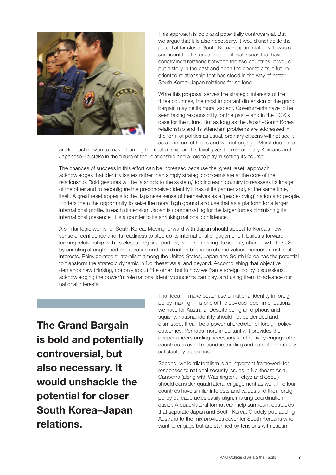

This approach is bold and potentially controversial. But we argue that it is also necessary. It would unshackle the potential for closer South Korea–Japan relations. It would surmount the historical and territorial issues that have constrained relations between the two countries. It would put history in the past and open the door to a true futureoriented relationship that has stood in the way of better South Korea–Japan relations for so long.

While this proposal serves the strategic interests of the three countries, the most important dimension of the grand bargain may be its moral aspect. Governments have to be seen taking responsibility for the past – and in the ROK's case for the future. But as long as the Japan–South Korea relationship and its attendant problems are addressed in the form of politics as usual, ordinary citizens will not see it as a concern of theirs and will not engage. Moral decisions

are for each citizen to make; framing the relationship on this level gives them—ordinary Koreans and Japanese—a stake in the future of the relationship and a role to play in setting its course.

The chances of success in this effort can be increased because the 'great reset' approach acknowledges that identity issues rather than simply strategic concerns are at the core of the relationship. Bold gestures will be 'a shock to the system,' forcing each country to reassess its image of the other and to reconfigure the preconceived identity it has of its partner and, at the same time, itself. A great reset appeals to the Japanese sense of themselves as a 'peace-loving' nation and people. It offers them the opportunity to seize the moral high ground and use that as a platform for a larger international profile. In each dimension, Japan is compensating for the larger forces diminishing its international presence. It is a counter to its shrinking national confidence.

A similar logic works for South Korea. Moving forward with Japan should appeal to Korea's new sense of confidence and its readiness to step up its international engagement. It builds a forwardlooking relationship with its closest regional partner, while reinforcing its security alliance with the US by enabling strengthened cooperation and coordination based on shared values, concerns, national interests. Reinvigorated trilateralism among the United States, Japan and South Korea has the potential to transform the strategic dynamic in Northeast Asia, and beyond. Accomplishing that objective demands new thinking, not only about 'the other' but in how we frame foreign policy discussions, acknowledging the powerful role national identity concerns can play, and using them to advance our national interests.

The Grand Bargain is bold and potentially controversial, but also necessary. It would unshackle the potential for closer South Korea–Japan relations.

That idea — make better use of national identity in foreign policy making — is one of the obvious recommendations we have for Australia. Despite being amorphous and squishy, national identity should not be derided and dismissed. It can be a powerful predictor of foreign policy outcomes. Perhaps more importantly, it provides the deeper understanding necessary to effectively engage other countries to avoid misunderstanding and establish mutually satisfactory outcomes.

Second, while trilateralism is an important framework for responses to national security issues in Northeast Asia, Canberra (along with Washington, Tokyo and Seoul) should consider quadrilateral engagement as well. The four countries have similar interests and values and their foreign policy bureaucracies easily align, making coordination easier. A quadrilateral format can help surmount obstacles that separate Japan and South Korea. Crudely put, adding Australia to the mix provides cover for South Koreans who want to engage but are stymied by tensions with Japan.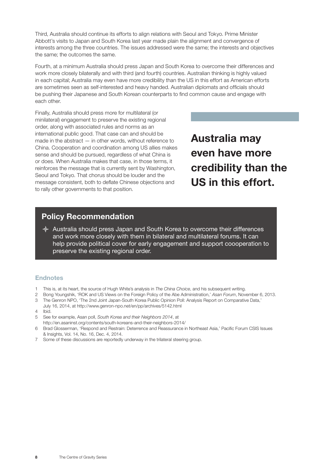Third, Australia should continue its efforts to align relations with Seoul and Tokyo. Prime Minister Abbott's visits to Japan and South Korea last year made plain the alignment and convergence of interests among the three countries. The issues addressed were the same; the interests and objectives the same; the outcomes the same.

Fourth, at a minimum Australia should press Japan and South Korea to overcome their differences and work more closely bilaterally and with third (and fourth) countries. Australian thinking is highly valued in each capital; Australia may even have more credibility than the US in this effort as American efforts are sometimes seen as self-interested and heavy handed. Australian diplomats and officials should be pushing their Japanese and South Korean counterparts to find common cause and engage with each other.

Finally, Australia should press more for multilateral (or minilateral) engagement to preserve the existing regional order, along with associated rules and norms as an international public good. That case can and should be made in the abstract — in other words, without reference to China. Cooperation and coordination among US allies makes sense and should be pursued, regardless of what China is or does. When Australia makes that case, in those terms, it reinforces the message that is currently sent by Washington, Seoul and Tokyo. That chorus should be louder and the message consistent, both to deflate Chinese objections and to rally other governments to that position.

Australia may even have more credibility than the US in this effort.

#### Policy Recommendation

 $\triangle$  Australia should press Japan and South Korea to overcome their differences and work more closely with them in bilateral and multilateral forums. It can help provide political cover for early engagement and support coooperation to preserve the existing regional order.

#### Endnotes

- 1 This is, at its heart, the source of Hugh White's analysis in *The China Choice*, and his subsequent writing.
- 2 Bong Youngshik, 'ROK and US Views on the Foreign Policy of the Abe Administration,' *Asan Forum*, November 6, 2013.
- 3 The Genron NPO, 'The 2nd Joint Japan-South Korea Public Opinion Poll: Analysis Report on Comparative Data,'
- July 16, 2014, at <http://www.genron-npo.net/en/pp/archives/5142.html>
- 4 Ibid.
- 5 See for example, Asan poll, *South Korea and their Neighbors 2014*, at http://en.asaninst.org/contents/south-koreans-and-their-neighbors-2014/
- 6 Brad Glosserman, 'Respond and Restrain: Deterrence and Reassurance in Northeast Asia,' Pacific Forum CSIS Issues & Insights, Vol. 14, No. 16, Dec. 4, 2014.
- 7 Some of these discussions are reportedly underway in the trilateral steering group.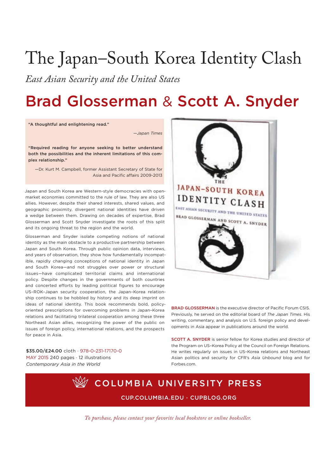# The Japan–South Korea Identity Clash

*East Asian Security and the United States*

# Brad Glosserman & Scott A. Snyder

"A thoughtful and enlightening read."

—*Japan Times*

"Required reading for anyone seeking to better understand both the possibilities and the inherent limitations of this complex relationship."

—Dr. Kurt m. Campbell, former Assistant Secretary of State for Asia and Pacific affairs 2009-2013

Japan and South Korea are Western-style democracies with openmarket economies committed to the rule of law. They are also US allies. However, despite their shared interests, shared values, and geographic proximity, divergent national identities have driven a wedge between them. Drawing on decades of expertise, Brad Glosserman and Scott Snyder investigate the roots of this split and its ongoing threat to the region and the world.

Glosserman and Snyder isolate competing notions of national identity as the main obstacle to a productive partnership between Japan and South Korea. Through public opinion data, interviews, and years of observation, they show how fundamentally incompatible, rapidly changing conceptions of national identity in Japan and South Korea—and not struggles over power or structural issues—have complicated territorial claims and international policy. Despite changes in the governments of both countries and concerted efforts by leading political figures to encourage US–ROK–Japan security cooperation, the Japan–Korea relationship continues to be hobbled by history and its deep imprint on ideas of national identity. This book recommends bold, policyoriented prescriptions for overcoming problems in Japan–Korea relations and facilitating trilateral cooperation among these three Northeast Asian allies, recognizing the power of the public on issues of foreign policy, international relations, and the prospects for peace in Asia.

\$35.00/£24.00 cloth · 978-0-231-17170-0 mAy 2015 240 pages · 12 illustrations *Contemporary Asia in the World*



BRAD GLOSSERMAN is the executive director of Pacific Forum CSIS. Previously, he served on the editorial board of *The Japan Times*. His writing, commentary, and analysis on U.S. foreign policy and developments in Asia appear in publications around the world.

SCOTT A. SNYdER is senior fellow for Korea studies and director of the Program on US–Korea Policy at the Council on Foreign Relations. He writes regularly on issues in US–Korea relations and Northeast Asian politics and security for CFR's *Asia Unbound* blog and for Forbes.com.

# COLUMBIA UNIVERSITY PRESS CUP.COLUMBIA.EdU · CUPBLOG.ORG

*To purchase, please contact your favorite local bookstore or online bookseller.*